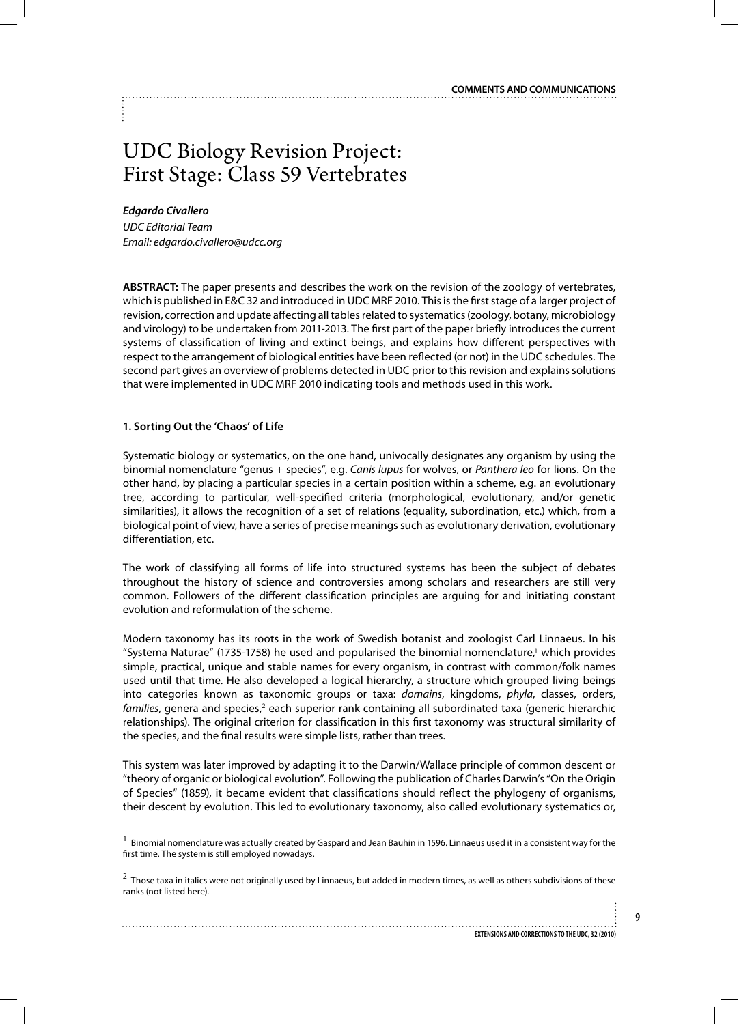# UDC Biology Revision Project: First Stage: Class 59 Vertebrates

## *Edgardo Civallero*

*UDC Editorial Team Email: edgardo.civallero@udcc.org*

**ABSTRACT:** The paper presents and describes the work on the revision of the zoology of vertebrates, which is published in E&C 32 and introduced in UDC MRF 2010. This is the first stage of a larger project of revision, correction and update affecting all tables related to systematics (zoology, botany, microbiology and virology) to be undertaken from 2011-2013. The first part of the paper briefly introduces the current systems of classification of living and extinct beings, and explains how different perspectives with respect to the arrangement of biological entities have been reflected (or not) in the UDC schedules. The second part gives an overview of problems detected in UDC prior to this revision and explains solutions that were implemented in UDC MRF 2010 indicating tools and methods used in this work.

## **1. Sorting Out the 'Chaos' of Life**

Systematic biology or systematics, on the one hand, univocally designates any organism by using the binomial nomenclature "genus + species", e.g. *Canis lupus* for wolves, or *Panthera leo* for lions. On the other hand, by placing a particular species in a certain position within a scheme, e.g. an evolutionary tree, according to particular, well-specified criteria (morphological, evolutionary, and/or genetic similarities), it allows the recognition of a set of relations (equality, subordination, etc.) which, from a biological point of view, have a series of precise meanings such as evolutionary derivation, evolutionary differentiation, etc.

The work of classifying all forms of life into structured systems has been the subject of debates throughout the history of science and controversies among scholars and researchers are still very common. Followers of the different classification principles are arguing for and initiating constant evolution and reformulation of the scheme.

Modern taxonomy has its roots in the work of Swedish botanist and zoologist Carl Linnaeus. In his "Systema Naturae" (1735-1758) he used and popularised the binomial nomenclature,<sup>1</sup> which provides simple, practical, unique and stable names for every organism, in contrast with common/folk names used until that time. He also developed a logical hierarchy, a structure which grouped living beings into categories known as taxonomic groups or taxa: *domains*, kingdoms, *phyla*, classes, orders, families, genera and species,<sup>2</sup> each superior rank containing all subordinated taxa (generic hierarchic relationships). The original criterion for classification in this first taxonomy was structural similarity of the species, and the final results were simple lists, rather than trees.

This system was later improved by adapting it to the Darwin/Wallace principle of common descent or "theory of organic or biological evolution". Following the publication of Charles Darwin's "On the Origin of Species" (1859), it became evident that classifications should reflect the phylogeny of organisms, their descent by evolution. This led to evolutionary taxonomy, also called evolutionary systematics or,

 $1$  Binomial nomenclature was actually created by Gaspard and Jean Bauhin in 1596. Linnaeus used it in a consistent way for the first time. The system is still employed nowadays.

<sup>&</sup>lt;sup>2</sup> Those taxa in italics were not originally used by Linnaeus, but added in modern times, as well as others subdivisions of these ranks (not listed here).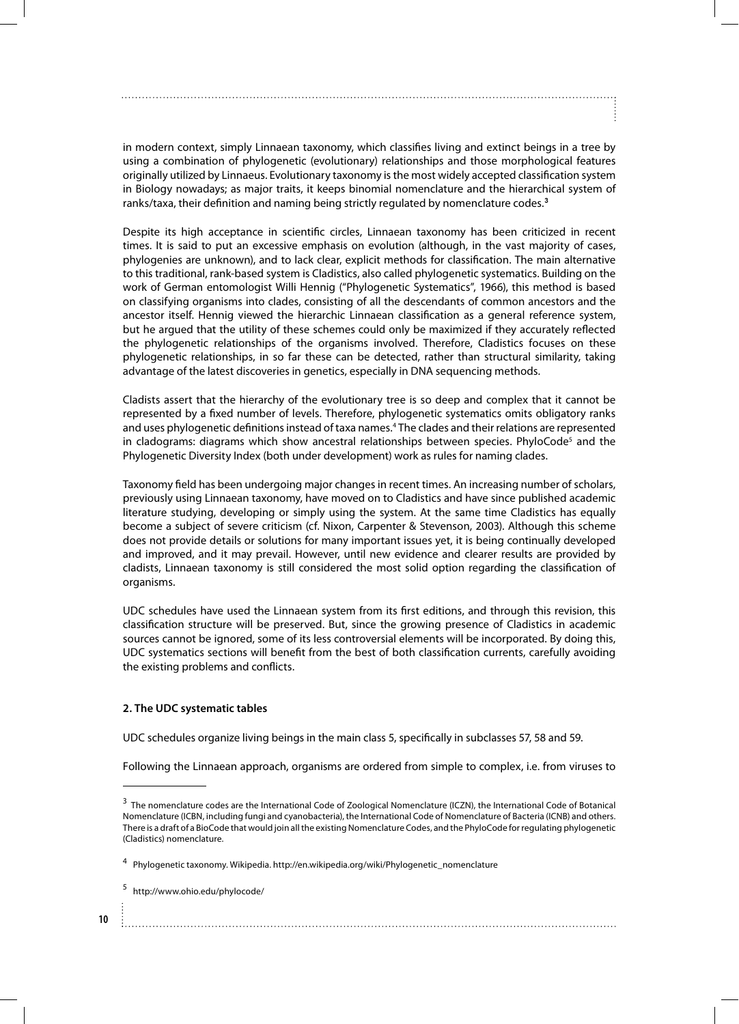in modern context, simply Linnaean taxonomy, which classifies living and extinct beings in a tree by using a combination of phylogenetic (evolutionary) relationships and those morphological features originally utilized by Linnaeus. Evolutionary taxonomy is the most widely accepted classification system in Biology nowadays; as major traits, it keeps binomial nomenclature and the hierarchical system of ranks/taxa, their definition and naming being strictly regulated by nomenclature codes.**<sup>3</sup>**

Despite its high acceptance in scientific circles, Linnaean taxonomy has been criticized in recent times. It is said to put an excessive emphasis on evolution (although, in the vast majority of cases, phylogenies are unknown), and to lack clear, explicit methods for classification. The main alternative to this traditional, rank-based system is Cladistics, also called phylogenetic systematics. Building on the work of German entomologist Willi Hennig ("Phylogenetic Systematics", 1966), this method is based on classifying organisms into clades, consisting of all the descendants of common ancestors and the ancestor itself. Hennig viewed the hierarchic Linnaean classification as a general reference system, but he argued that the utility of these schemes could only be maximized if they accurately reflected the phylogenetic relationships of the organisms involved. Therefore, Cladistics focuses on these phylogenetic relationships, in so far these can be detected, rather than structural similarity, taking advantage of the latest discoveries in genetics, especially in DNA sequencing methods.

Cladists assert that the hierarchy of the evolutionary tree is so deep and complex that it cannot be represented by a fixed number of levels. Therefore, phylogenetic systematics omits obligatory ranks and uses phylogenetic definitions instead of taxa names.4 The clades and their relations are represented in cladograms: diagrams which show ancestral relationships between species. PhyloCode<sup>5</sup> and the Phylogenetic Diversity Index (both under development) work as rules for naming clades.

Taxonomy field has been undergoing major changes in recent times. An increasing number of scholars, previously using Linnaean taxonomy, have moved on to Cladistics and have since published academic literature studying, developing or simply using the system. At the same time Cladistics has equally become a subject of severe criticism (cf. Nixon, Carpenter & Stevenson, 2003). Although this scheme does not provide details or solutions for many important issues yet, it is being continually developed and improved, and it may prevail. However, until new evidence and clearer results are provided by cladists, Linnaean taxonomy is still considered the most solid option regarding the classification of organisms.

UDC schedules have used the Linnaean system from its first editions, and through this revision, this classification structure will be preserved. But, since the growing presence of Cladistics in academic sources cannot be ignored, some of its less controversial elements will be incorporated. By doing this, UDC systematics sections will benefit from the best of both classification currents, carefully avoiding the existing problems and conflicts.

## **2. The UDC systematic tables**

UDC schedules organize living beings in the main class 5, specifically in subclasses 57, 58 and 59.

Following the Linnaean approach, organisms are ordered from simple to complex, i.e. from viruses to

**10** 

<sup>&</sup>lt;sup>3</sup> The nomenclature codes are the International Code of Zoological Nomenclature (ICZN), the International Code of Botanical Nomenclature (ICBN, including fungi and cyanobacteria), the International Code of Nomenclature of Bacteria (ICNB) and others. There is a draft of a BioCode that would join all the existing Nomenclature Codes, and the PhyloCode for regulating phylogenetic (Cladistics) nomenclature.

<sup>4</sup> Phylogenetic taxonomy. Wikipedia. http://en.wikipedia.org/wiki/Phylogenetic\_nomenclature

<sup>5</sup> http://www.ohio.edu/phylocode/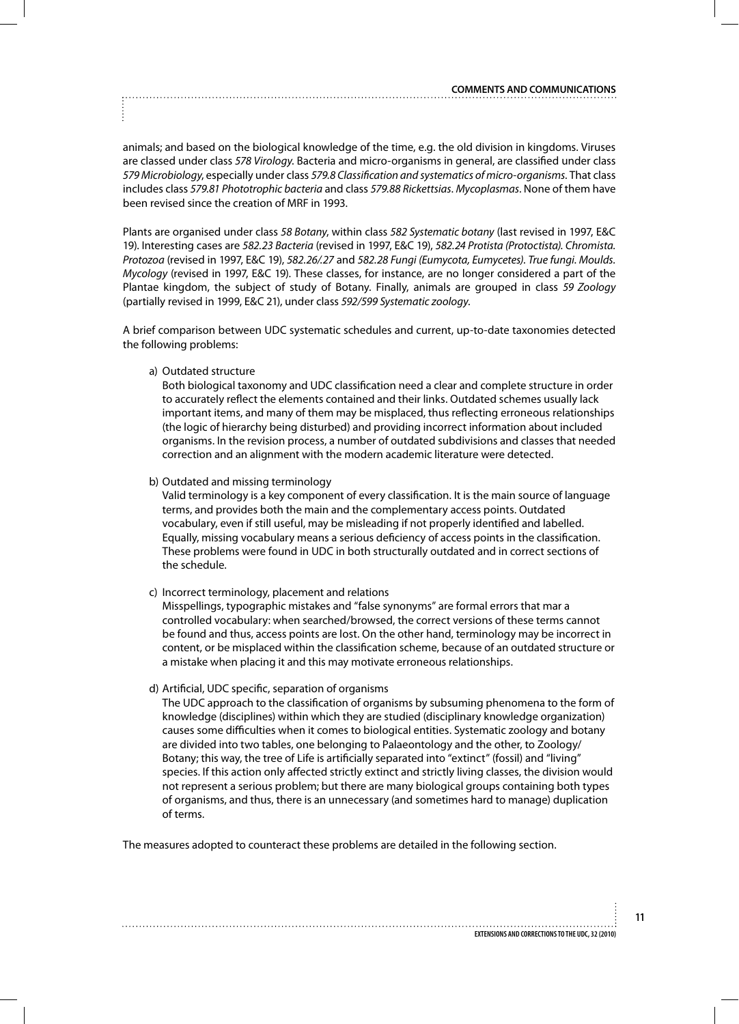animals; and based on the biological knowledge of the time, e.g. the old division in kingdoms. Viruses are classed under class *578 Virology*. Bacteria and micro-organisms in general, are classified under class *579 Microbiology*, especially under class *579.8 Classification and systematics of micro-organisms*. That class includes class *579.81 Phototrophic bacteria* and class *579.88 Rickettsias*. *Mycoplasmas*. None of them have been revised since the creation of MRF in 1993.

Plants are organised under class *58 Botany*, within class *582 Systematic botany* (last revised in 1997, E&C 19). Interesting cases are *582.23 Bacteria* (revised in 1997, E&C 19), *582.24 Protista (Protoctista). Chromista. Protozoa* (revised in 1997, E&C 19), *582.26/.27* and *582.28 Fungi (Eumycota, Eumycetes)*. *True fungi. Moulds. Mycology* (revised in 1997, E&C 19). These classes, for instance, are no longer considered a part of the Plantae kingdom, the subject of study of Botany. Finally, animals are grouped in class *59 Zoology*  (partially revised in 1999, E&C 21), under class *592/599 Systematic zoology*.

A brief comparison between UDC systematic schedules and current, up-to-date taxonomies detected the following problems:

a) Outdated structure

Both biological taxonomy and UDC classification need a clear and complete structure in order to accurately reflect the elements contained and their links. Outdated schemes usually lack important items, and many of them may be misplaced, thus reflecting erroneous relationships (the logic of hierarchy being disturbed) and providing incorrect information about included organisms. In the revision process, a number of outdated subdivisions and classes that needed correction and an alignment with the modern academic literature were detected.

b) Outdated and missing terminology

Valid terminology is a key component of every classification. It is the main source of language terms, and provides both the main and the complementary access points. Outdated vocabulary, even if still useful, may be misleading if not properly identified and labelled. Equally, missing vocabulary means a serious deficiency of access points in the classification. These problems were found in UDC in both structurally outdated and in correct sections of the schedule.

c) Incorrect terminology, placement and relations

Misspellings, typographic mistakes and "false synonyms" are formal errors that mar a controlled vocabulary: when searched/browsed, the correct versions of these terms cannot be found and thus, access points are lost. On the other hand, terminology may be incorrect in content, or be misplaced within the classification scheme, because of an outdated structure or a mistake when placing it and this may motivate erroneous relationships.

d) Artificial, UDC specific, separation of organisms

The UDC approach to the classification of organisms by subsuming phenomena to the form of knowledge (disciplines) within which they are studied (disciplinary knowledge organization) causes some difficulties when it comes to biological entities. Systematic zoology and botany are divided into two tables, one belonging to Palaeontology and the other, to Zoology/ Botany; this way, the tree of Life is artificially separated into "extinct" (fossil) and "living" species. If this action only affected strictly extinct and strictly living classes, the division would not represent a serious problem; but there are many biological groups containing both types of organisms, and thus, there is an unnecessary (and sometimes hard to manage) duplication of terms.

The measures adopted to counteract these problems are detailed in the following section.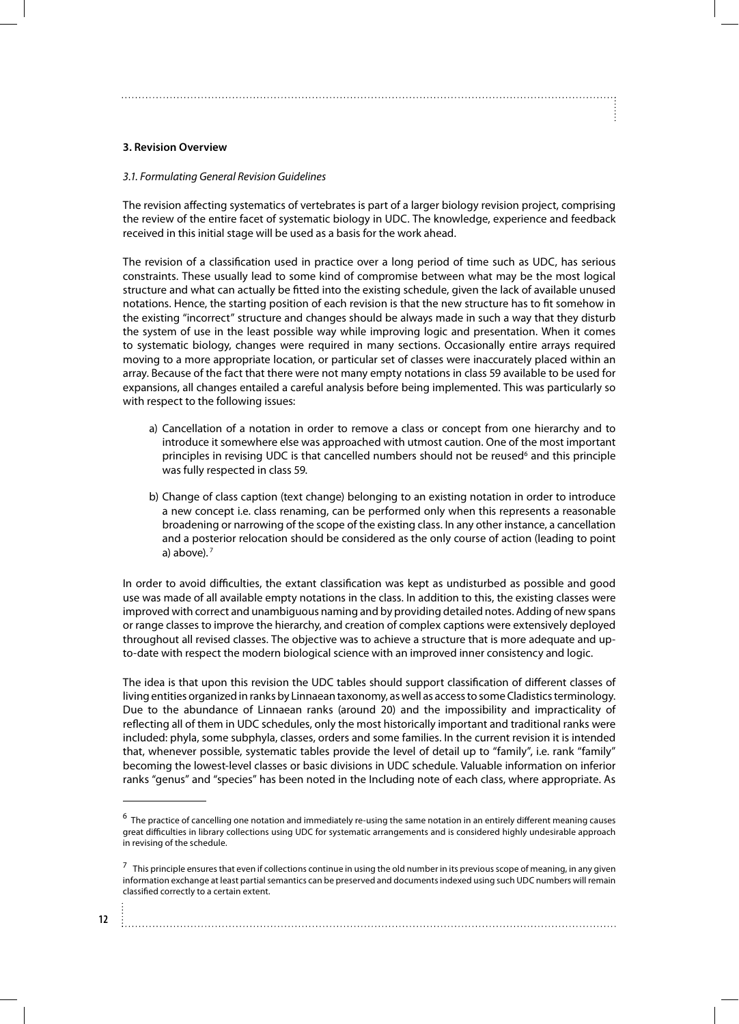## **3. Revision Overview**

#### *3.1. Formulating General Revision Guidelines*

The revision affecting systematics of vertebrates is part of a larger biology revision project, comprising the review of the entire facet of systematic biology in UDC. The knowledge, experience and feedback received in this initial stage will be used as a basis for the work ahead.

The revision of a classification used in practice over a long period of time such as UDC, has serious constraints. These usually lead to some kind of compromise between what may be the most logical structure and what can actually be fitted into the existing schedule, given the lack of available unused notations. Hence, the starting position of each revision is that the new structure has to fit somehow in the existing "incorrect" structure and changes should be always made in such a way that they disturb the system of use in the least possible way while improving logic and presentation. When it comes to systematic biology, changes were required in many sections. Occasionally entire arrays required moving to a more appropriate location, or particular set of classes were inaccurately placed within an array. Because of the fact that there were not many empty notations in class 59 available to be used for expansions, all changes entailed a careful analysis before being implemented. This was particularly so with respect to the following issues:

- a) Cancellation of a notation in order to remove a class or concept from one hierarchy and to introduce it somewhere else was approached with utmost caution. One of the most important principles in revising UDC is that cancelled numbers should not be reused<sup>6</sup> and this principle was fully respected in class 59.
- b) Change of class caption (text change) belonging to an existing notation in order to introduce a new concept i.e. class renaming, can be performed only when this represents a reasonable broadening or narrowing of the scope of the existing class. In any other instance, a cancellation and a posterior relocation should be considered as the only course of action (leading to point a) above). $<sup>7</sup>$ </sup>

In order to avoid difficulties, the extant classification was kept as undisturbed as possible and good use was made of all available empty notations in the class. In addition to this, the existing classes were improved with correct and unambiguous naming and by providing detailed notes. Adding of new spans or range classes to improve the hierarchy, and creation of complex captions were extensively deployed throughout all revised classes. The objective was to achieve a structure that is more adequate and upto-date with respect the modern biological science with an improved inner consistency and logic.

The idea is that upon this revision the UDC tables should support classification of different classes of living entities organized in ranks by Linnaean taxonomy, as well as access to some Cladistics terminology. Due to the abundance of Linnaean ranks (around 20) and the impossibility and impracticality of reflecting all of them in UDC schedules, only the most historically important and traditional ranks were included: phyla, some subphyla, classes, orders and some families. In the current revision it is intended that, whenever possible, systematic tables provide the level of detail up to "family", i.e. rank "family" becoming the lowest-level classes or basic divisions in UDC schedule. Valuable information on inferior ranks "genus" and "species" has been noted in the Including note of each class, where appropriate. As

 $6$  The practice of cancelling one notation and immediately re-using the same notation in an entirely different meaning causes great difficulties in library collections using UDC for systematic arrangements and is considered highly undesirable approach in revising of the schedule.

 $^7$  This principle ensures that even if collections continue in using the old number in its previous scope of meaning, in any given information exchange at least partial semantics can be preserved and documents indexed using such UDC numbers will remain classified correctly to a certain extent.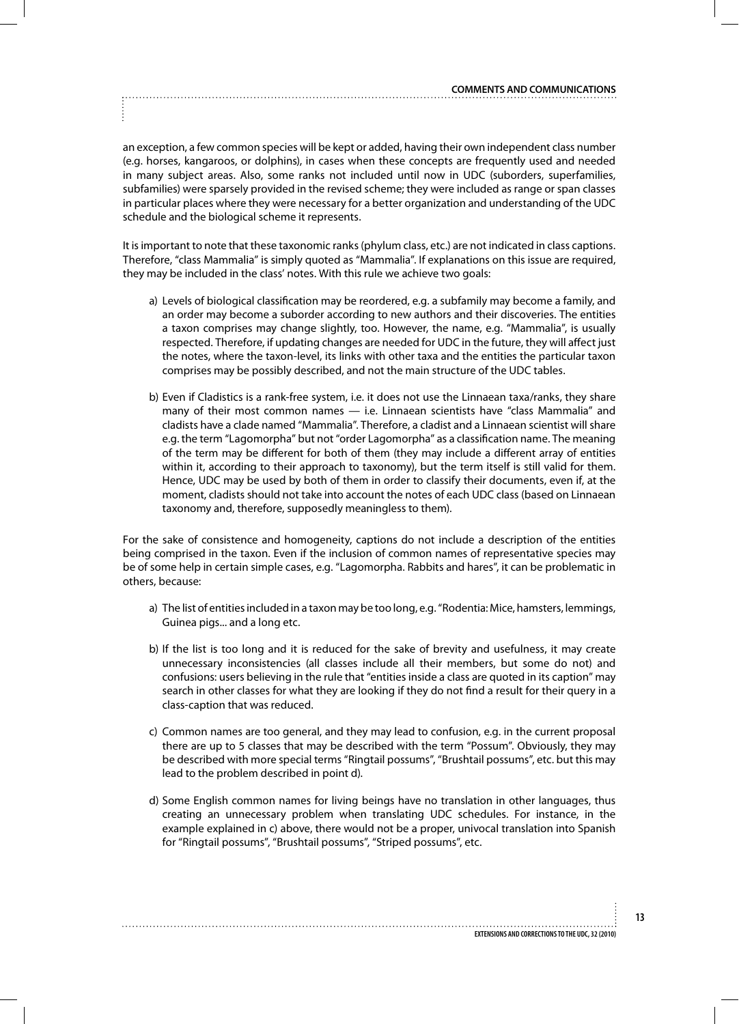an exception, a few common species will be kept or added, having their own independent class number (e.g. horses, kangaroos, or dolphins), in cases when these concepts are frequently used and needed in many subject areas. Also, some ranks not included until now in UDC (suborders, superfamilies, subfamilies) were sparsely provided in the revised scheme; they were included as range or span classes in particular places where they were necessary for a better organization and understanding of the UDC schedule and the biological scheme it represents.

It is important to note that these taxonomic ranks (phylum class, etc.) are not indicated in class captions. Therefore, "class Mammalia" is simply quoted as "Mammalia". If explanations on this issue are required, they may be included in the class' notes. With this rule we achieve two goals:

- a) Levels of biological classification may be reordered, e.g. a subfamily may become a family, and an order may become a suborder according to new authors and their discoveries. The entities a taxon comprises may change slightly, too. However, the name, e.g. "Mammalia", is usually respected. Therefore, if updating changes are needed for UDC in the future, they will affect just the notes, where the taxon-level, its links with other taxa and the entities the particular taxon comprises may be possibly described, and not the main structure of the UDC tables.
- b) Even if Cladistics is a rank-free system, i.e. it does not use the Linnaean taxa/ranks, they share many of their most common names — i.e. Linnaean scientists have "class Mammalia" and cladists have a clade named "Mammalia". Therefore, a cladist and a Linnaean scientist will share e.g. the term "Lagomorpha" but not "order Lagomorpha" as a classification name. The meaning of the term may be different for both of them (they may include a different array of entities within it, according to their approach to taxonomy), but the term itself is still valid for them. Hence, UDC may be used by both of them in order to classify their documents, even if, at the moment, cladists should not take into account the notes of each UDC class (based on Linnaean taxonomy and, therefore, supposedly meaningless to them).

For the sake of consistence and homogeneity, captions do not include a description of the entities being comprised in the taxon. Even if the inclusion of common names of representative species may be of some help in certain simple cases, e.g. "Lagomorpha. Rabbits and hares", it can be problematic in others, because:

- a) The list of entities included in a taxon may be too long, e.g. "Rodentia: Mice, hamsters, lemmings, Guinea pigs... and a long etc.
- b) If the list is too long and it is reduced for the sake of brevity and usefulness, it may create unnecessary inconsistencies (all classes include all their members, but some do not) and confusions: users believing in the rule that "entities inside a class are quoted in its caption" may search in other classes for what they are looking if they do not find a result for their query in a class-caption that was reduced.
- c) Common names are too general, and they may lead to confusion, e.g. in the current proposal there are up to 5 classes that may be described with the term "Possum". Obviously, they may be described with more special terms "Ringtail possums", "Brushtail possums", etc. but this may lead to the problem described in point d).
- d) Some English common names for living beings have no translation in other languages, thus creating an unnecessary problem when translating UDC schedules. For instance, in the example explained in c) above, there would not be a proper, univocal translation into Spanish for "Ringtail possums", "Brushtail possums", "Striped possums", etc.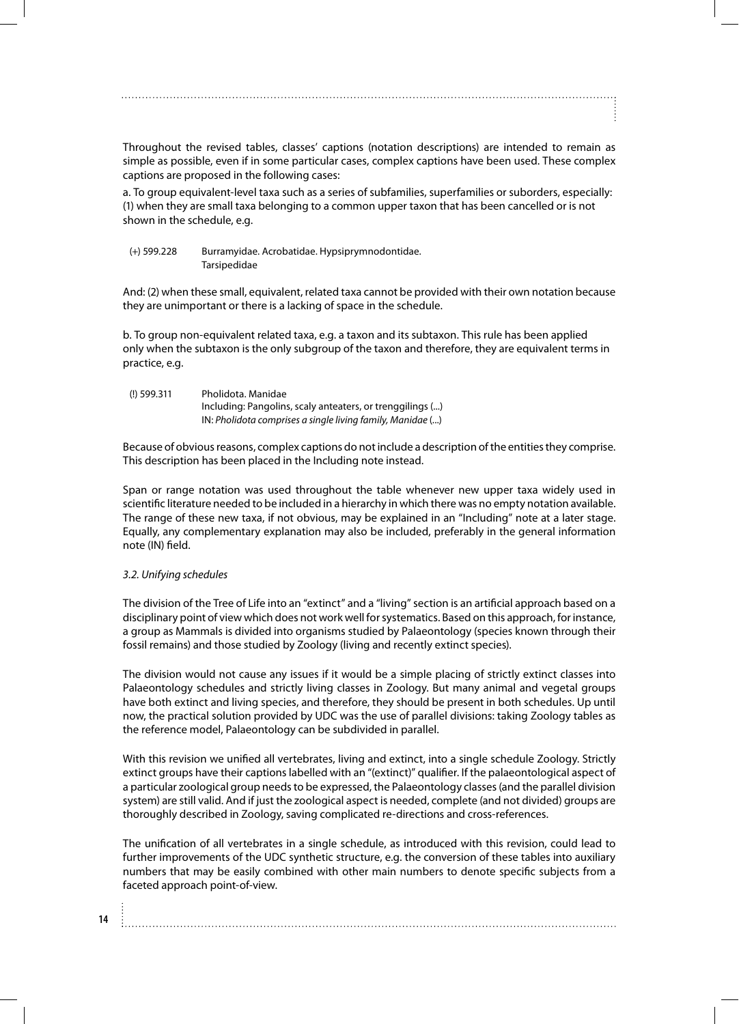Throughout the revised tables, classes' captions (notation descriptions) are intended to remain as simple as possible, even if in some particular cases, complex captions have been used. These complex captions are proposed in the following cases:

a. To group equivalent-level taxa such as a series of subfamilies, superfamilies or suborders, especially: (1) when they are small taxa belonging to a common upper taxon that has been cancelled or is not shown in the schedule, e.g.

#### (+) 599.228 Burramyidae. Acrobatidae. Hypsiprymnodontidae. Tarsipedidae

And: (2) when these small, equivalent, related taxa cannot be provided with their own notation because they are unimportant or there is a lacking of space in the schedule.

b. To group non-equivalent related taxa, e.g. a taxon and its subtaxon. This rule has been applied only when the subtaxon is the only subgroup of the taxon and therefore, they are equivalent terms in practice, e.g.

| $(I)$ 599.311 | Pholidota, Manidae                                         |
|---------------|------------------------------------------------------------|
|               | Including: Pangolins, scaly anteaters, or trenggilings ()  |
|               | IN: Pholidota comprises a single living family, Manidae () |

Because of obvious reasons, complex captions do not include a description of the entities they comprise. This description has been placed in the Including note instead.

Span or range notation was used throughout the table whenever new upper taxa widely used in scientific literature needed to be included in a hierarchy in which there was no empty notation available. The range of these new taxa, if not obvious, may be explained in an "Including" note at a later stage. Equally, any complementary explanation may also be included, preferably in the general information note (IN) field.

## *3.2. Unifying schedules*

The division of the Tree of Life into an "extinct" and a "living" section is an artificial approach based on a disciplinary point of view which does not work well for systematics. Based on this approach, for instance, a group as Mammals is divided into organisms studied by Palaeontology (species known through their fossil remains) and those studied by Zoology (living and recently extinct species).

The division would not cause any issues if it would be a simple placing of strictly extinct classes into Palaeontology schedules and strictly living classes in Zoology. But many animal and vegetal groups have both extinct and living species, and therefore, they should be present in both schedules. Up until now, the practical solution provided by UDC was the use of parallel divisions: taking Zoology tables as the reference model, Palaeontology can be subdivided in parallel.

With this revision we unified all vertebrates, living and extinct, into a single schedule Zoology. Strictly extinct groups have their captions labelled with an "(extinct)" qualifier. If the palaeontological aspect of a particular zoological group needs to be expressed, the Palaeontology classes (and the parallel division system) are still valid. And if just the zoological aspect is needed, complete (and not divided) groups are thoroughly described in Zoology, saving complicated re-directions and cross-references.

The unification of all vertebrates in a single schedule, as introduced with this revision, could lead to further improvements of the UDC synthetic structure, e.g. the conversion of these tables into auxiliary numbers that may be easily combined with other main numbers to denote specific subjects from a faceted approach point-of-view.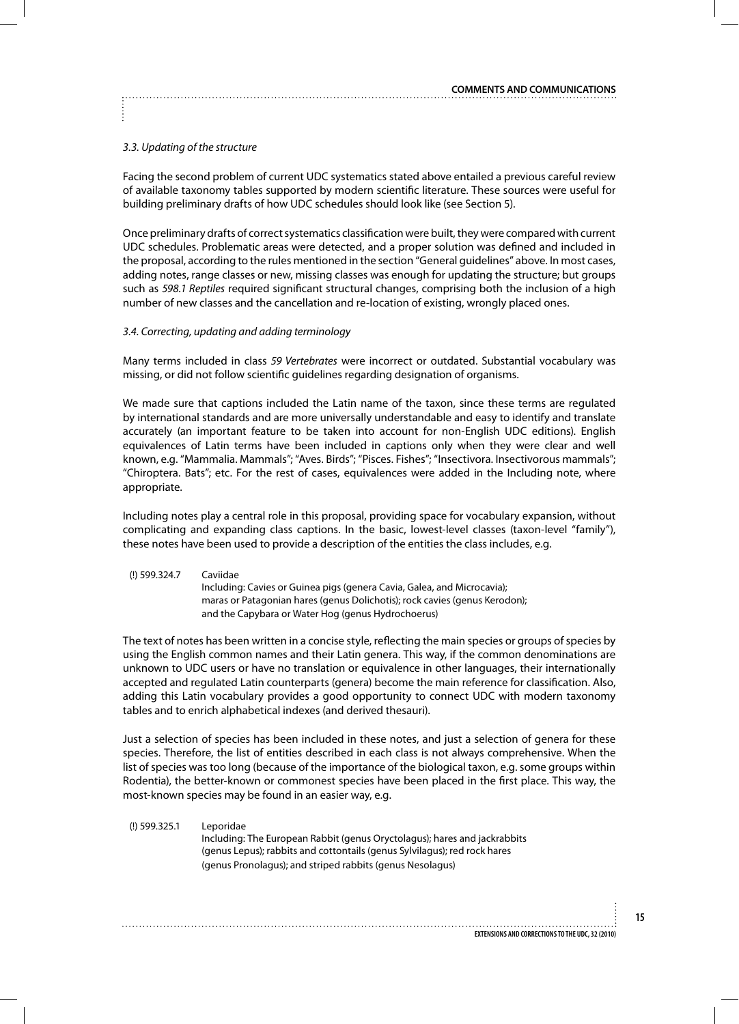## *3.3. Updating of the structure*

Facing the second problem of current UDC systematics stated above entailed a previous careful review of available taxonomy tables supported by modern scientific literature. These sources were useful for building preliminary drafts of how UDC schedules should look like (see Section 5).

Once preliminary drafts of correct systematics classification were built, they were compared with current UDC schedules. Problematic areas were detected, and a proper solution was defined and included in the proposal, according to the rules mentioned in the section "General guidelines" above. In most cases, adding notes, range classes or new, missing classes was enough for updating the structure; but groups such as *598.1 Reptiles* required significant structural changes, comprising both the inclusion of a high number of new classes and the cancellation and re-location of existing, wrongly placed ones.

#### *3.4. Correcting, updating and adding terminology*

Many terms included in class *59 Vertebrates* were incorrect or outdated. Substantial vocabulary was missing, or did not follow scientific guidelines regarding designation of organisms.

We made sure that captions included the Latin name of the taxon, since these terms are regulated by international standards and are more universally understandable and easy to identify and translate accurately (an important feature to be taken into account for non-English UDC editions). English equivalences of Latin terms have been included in captions only when they were clear and well known, e.g. "Mammalia. Mammals"; "Aves. Birds"; "Pisces. Fishes"; "Insectivora. Insectivorous mammals"; "Chiroptera. Bats"; etc. For the rest of cases, equivalences were added in the Including note, where appropriate.

Including notes play a central role in this proposal, providing space for vocabulary expansion, without complicating and expanding class captions. In the basic, lowest-level classes (taxon-level "family"), these notes have been used to provide a description of the entities the class includes, e.g.

| (!) 599.324.7 | Caviidae                                                                   |
|---------------|----------------------------------------------------------------------------|
|               | Including: Cavies or Guinea pigs (genera Cavia, Galea, and Microcavia);    |
|               | maras or Patagonian hares (genus Dolichotis); rock cavies (genus Kerodon); |
|               | and the Capybara or Water Hog (genus Hydrochoerus)                         |

The text of notes has been written in a concise style, reflecting the main species or groups of species by using the English common names and their Latin genera. This way, if the common denominations are unknown to UDC users or have no translation or equivalence in other languages, their internationally accepted and regulated Latin counterparts (genera) become the main reference for classification. Also, adding this Latin vocabulary provides a good opportunity to connect UDC with modern taxonomy tables and to enrich alphabetical indexes (and derived thesauri).

Just a selection of species has been included in these notes, and just a selection of genera for these species. Therefore, the list of entities described in each class is not always comprehensive. When the list of species was too long (because of the importance of the biological taxon, e.g. some groups within Rodentia), the better-known or commonest species have been placed in the first place. This way, the most-known species may be found in an easier way, e.g.

(!) 599.325.1 Leporidae Including: The European Rabbit (genus Oryctolagus); hares and jackrabbits (genus Lepus); rabbits and cottontails (genus Sylvilagus); red rock hares (genus Pronolagus); and striped rabbits (genus Nesolagus)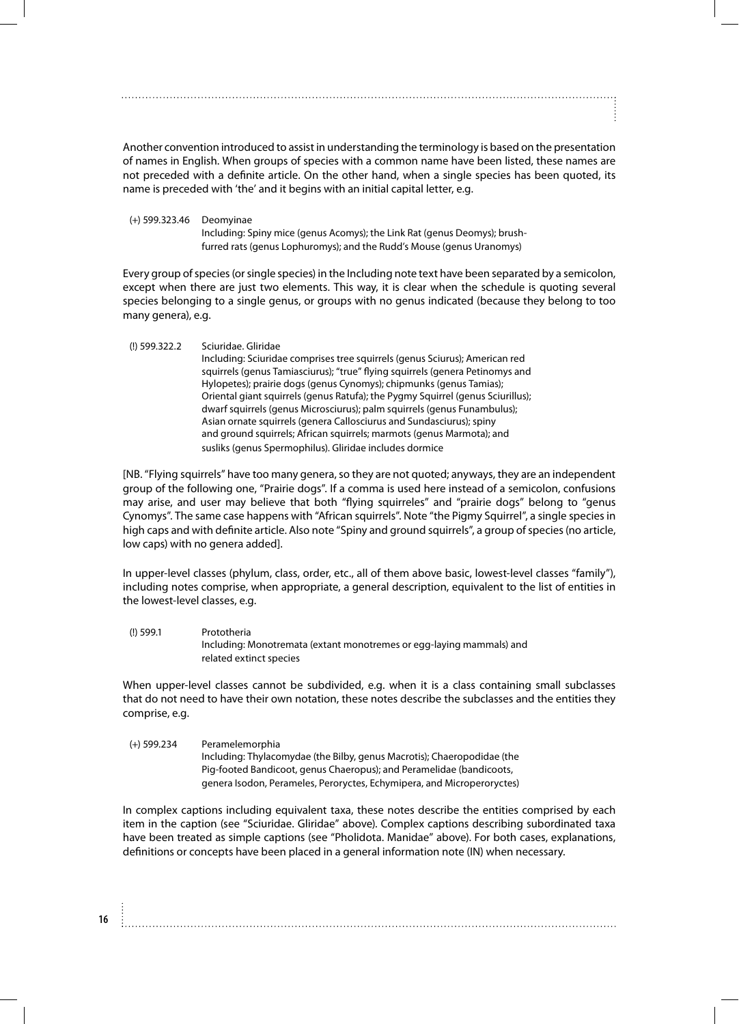Another convention introduced to assist in understanding the terminology is based on the presentation of names in English. When groups of species with a common name have been listed, these names are not preceded with a definite article. On the other hand, when a single species has been quoted, its name is preceded with 'the' and it begins with an initial capital letter, e.g.

(+) 599.323.46 Deomyinae Including: Spiny mice (genus Acomys); the Link Rat (genus Deomys); brushfurred rats (genus Lophuromys); and the Rudd's Mouse (genus Uranomys)

Every group of species (or single species) in the Including note text have been separated by a semicolon, except when there are just two elements. This way, it is clear when the schedule is quoting several species belonging to a single genus, or groups with no genus indicated (because they belong to too many genera), e.g.

(!) 599.322.2 Sciuridae. Gliridae Including: Sciuridae comprises tree squirrels (genus Sciurus); American red squirrels (genus Tamiasciurus); "true" flying squirrels (genera Petinomys and Hylopetes); prairie dogs (genus Cynomys); chipmunks (genus Tamias); Oriental giant squirrels (genus Ratufa); the Pygmy Squirrel (genus Sciurillus); dwarf squirrels (genus Microsciurus); palm squirrels (genus Funambulus); Asian ornate squirrels (genera Callosciurus and Sundasciurus); spiny and ground squirrels; African squirrels; marmots (genus Marmota); and susliks (genus Spermophilus). Gliridae includes dormice

[NB. "Flying squirrels" have too many genera, so they are not quoted; anyways, they are an independent group of the following one, "Prairie dogs". If a comma is used here instead of a semicolon, confusions may arise, and user may believe that both "flying squirreles" and "prairie dogs" belong to "genus Cynomys". The same case happens with "African squirrels". Note "the Pigmy Squirrel", a single species in high caps and with definite article. Also note "Spiny and ground squirrels", a group of species (no article, low caps) with no genera added].

In upper-level classes (phylum, class, order, etc., all of them above basic, lowest-level classes "family"), including notes comprise, when appropriate, a general description, equivalent to the list of entities in the lowest-level classes, e.g.

(!) 599.1 Prototheria Including: Monotremata (extant monotremes or egg-laying mammals) and related extinct species

When upper-level classes cannot be subdivided, e.g. when it is a class containing small subclasses that do not need to have their own notation, these notes describe the subclasses and the entities they comprise, e.g.

(+) 599.234 Peramelemorphia Including: Thylacomydae (the Bilby, genus Macrotis); Chaeropodidae (the Pig-footed Bandicoot, genus Chaeropus); and Peramelidae (bandicoots, genera Isodon, Perameles, Peroryctes, Echymipera, and Microperoryctes)

In complex captions including equivalent taxa, these notes describe the entities comprised by each item in the caption (see "Sciuridae. Gliridae" above). Complex captions describing subordinated taxa have been treated as simple captions (see "Pholidota. Manidae" above). For both cases, explanations, definitions or concepts have been placed in a general information note (IN) when necessary.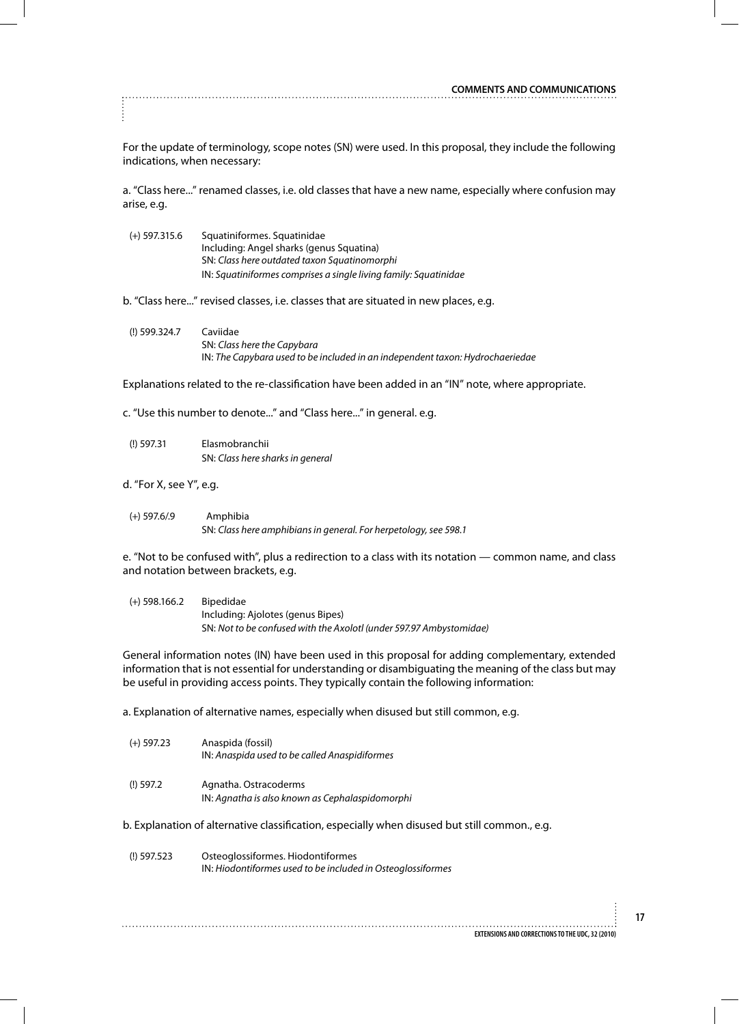For the update of terminology, scope notes (SN) were used. In this proposal, they include the following indications, when necessary:

a. "Class here..." renamed classes, i.e. old classes that have a new name, especially where confusion may arise, e.g.

| $(+)$ 597.315.6 | Squatiniformes. Squatinidae                                      |
|-----------------|------------------------------------------------------------------|
|                 | Including: Angel sharks (genus Squatina)                         |
|                 | SN: Class here outdated taxon Squatinomorphi                     |
|                 | IN: Squatiniformes comprises a single living family: Squatinidae |

b. "Class here..." revised classes, i.e. classes that are situated in new places, e.g.

(!) 599.324.7 Caviidae SN: *Class here the Capybara* IN: *The Capybara used to be included in an independent taxon: Hydrochaeriedae*

Explanations related to the re-classification have been added in an "IN" note, where appropriate.

c. "Use this number to denote..." and "Class here..." in general. e.g.

(!) 597.31 Elasmobranchii SN: *Class here sharks in general*

d. "For X, see Y", e.g.

(+) 597.6/.9 Amphibia SN: *Class here amphibians in general. For herpetology, see 598.1*

e. "Not to be confused with", plus a redirection to a class with its notation — common name, and class and notation between brackets, e.g.

(+) 598.166.2 Bipedidae Including: Ajolotes (genus Bipes) SN: *Not to be confused with the Axolotl (under 597.97 Ambystomidae)*

General information notes (IN) have been used in this proposal for adding complementary, extended information that is not essential for understanding or disambiguating the meaning of the class but may be useful in providing access points. They typically contain the following information:

a. Explanation of alternative names, especially when disused but still common, e.g.

| $(+)$ 597.23 | Anaspida (fossil)<br>IN: Anaspida used to be called Anaspidiformes       |
|--------------|--------------------------------------------------------------------------|
| $(!)$ 597.2  | Agnatha. Ostracoderms<br>IN: Agnatha is also known as Cephalaspidomorphi |

b. Explanation of alternative classification, especially when disused but still common., e.g.

(!) 597.523 Osteoglossiformes. Hiodontiformes IN: *Hiodontiformes used to be included in Osteoglossiformes*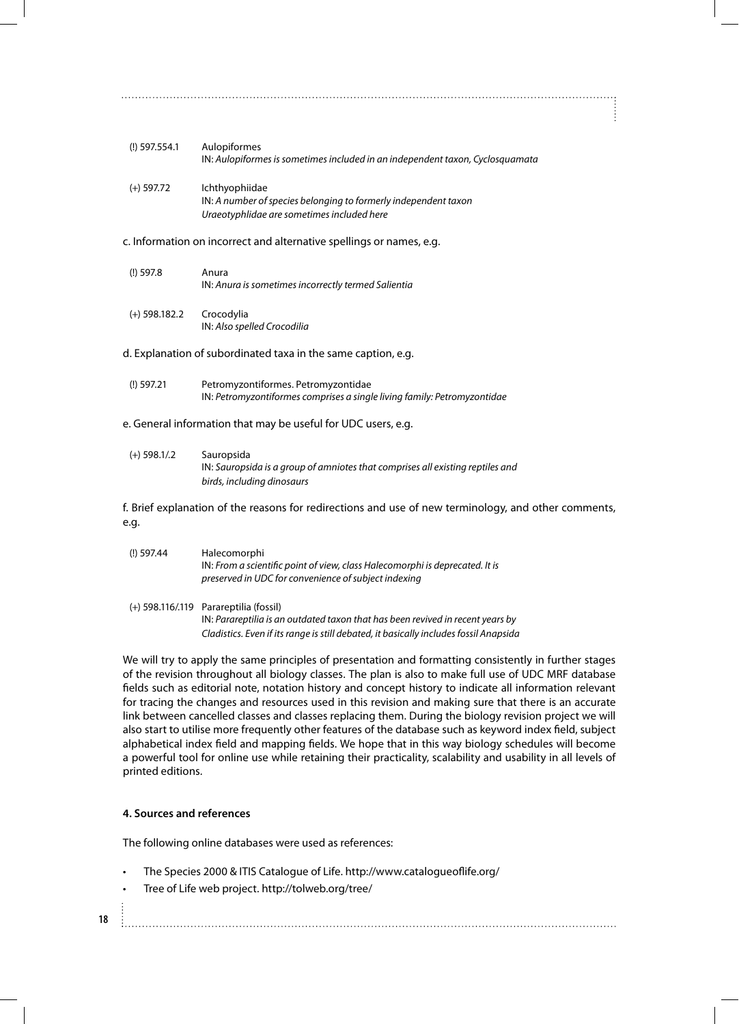| $(I)$ 597.554.1                                                      | Aulopiformes<br>IN: Aulopiformes is sometimes included in an independent taxon, Cyclosquamata                                   |
|----------------------------------------------------------------------|---------------------------------------------------------------------------------------------------------------------------------|
| $(+)$ 597.72                                                         | Ichthyophiidae<br>IN: A number of species belonging to formerly independent taxon<br>Uraeotyphlidae are sometimes included here |
| c. Information on incorrect and alternative spellings or names, e.g. |                                                                                                                                 |
| $(!)$ 597.8                                                          | Anura<br>IN: Anura is sometimes incorrectly termed Salientia                                                                    |
| $(+)$ 598.182.2                                                      | Crocodylia<br>IN: Also spelled Crocodilia                                                                                       |
| d. Explanation of subordinated taxa in the same caption, e.g.        |                                                                                                                                 |
| $(!)$ 597.21                                                         | Petromyzontiformes. Petromyzontidae<br>IN: Petromyzontiformes comprises a single living family: Petromyzontidae                 |

## e. General information that may be useful for UDC users, e.g.

| $(+)$ 598.1/.2 | Sauropsida                                                                     |
|----------------|--------------------------------------------------------------------------------|
|                | IN: Sauropsida is a group of amniotes that comprises all existing reptiles and |
|                | birds, including dinosaurs                                                     |

f. Brief explanation of the reasons for redirections and use of new terminology, and other comments, e.g.

| $(!)$ 597.44 | Halecomorphi                                                                 |
|--------------|------------------------------------------------------------------------------|
|              | IN: From a scientific point of view, class Halecomorphi is deprecated. It is |
|              | preserved in UDC for convenience of subject indexing                         |
|              |                                                                              |

(+) 598.116/.119 Parareptilia (fossil) IN: *Parareptilia is an outdated taxon that has been revived in recent years by Cladistics. Even if its range is still debated, it basically includes fossil Anapsida*

We will try to apply the same principles of presentation and formatting consistently in further stages of the revision throughout all biology classes. The plan is also to make full use of UDC MRF database fields such as editorial note, notation history and concept history to indicate all information relevant for tracing the changes and resources used in this revision and making sure that there is an accurate link between cancelled classes and classes replacing them. During the biology revision project we will also start to utilise more frequently other features of the database such as keyword index field, subject alphabetical index field and mapping fields. We hope that in this way biology schedules will become a powerful tool for online use while retaining their practicality, scalability and usability in all levels of printed editions.

# **4. Sources and references**

The following online databases were used as references:

- The Species 2000 & ITIS Catalogue of Life. http://www.catalogueoflife.org/
- Tree of Life web project. http://tolweb.org/tree/
- **18**